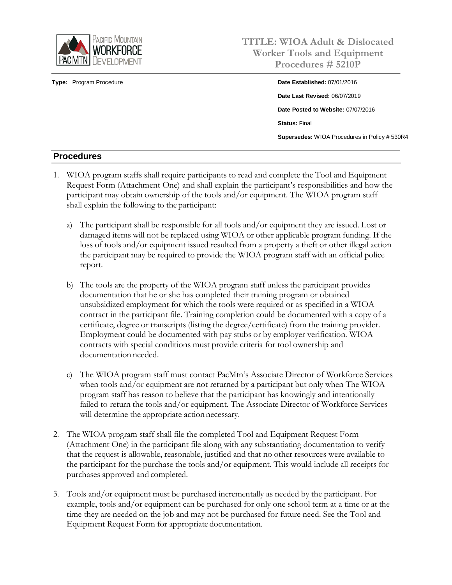

**Type:** Program Procedure **Date Established:** 07/01/2016

# **TITLE: WIOA Adult & Dislocated Worker Tools and Equipment Procedures # 5210P**

**Date Last Revised:** 06/07/2019 **Date Posted to Website:** 07/07/2016 **Status:** Final **Supersedes:** WIOA Procedures in Policy # 530R4

### **Procedures**

- 1. WIOA program staffs shall require participants to read and complete the Tool and Equipment Request Form (Attachment One) and shall explain the participant's responsibilities and how the participant may obtain ownership of the tools and/or equipment. The WIOA program staff shall explain the following to the participant:
	- a) The participant shall be responsible for all tools and/or equipment they are issued. Lost or damaged items will not be replaced using WIOA or other applicable program funding. If the loss of tools and/or equipment issued resulted from a property a theft or other illegal action the participant may be required to provide the WIOA program staff with an official police report.
	- b) The tools are the property of the WIOA program staff unless the participant provides documentation that he or she has completed their training program or obtained unsubsidized employment for which the tools were required or as specified in a WIOA contract in the participant file. Training completion could be documented with a copy of a certificate, degree or transcripts (listing the degree/certificate) from the training provider. Employment could be documented with pay stubs or by employer verification. WIOA contracts with special conditions must provide criteria for tool ownership and documentation needed.
	- c) The WIOA program staff must contact PacMtn's Associate Director of Workforce Services when tools and/or equipment are not returned by a participant but only when The WIOA program staff has reason to believe that the participant has knowingly and intentionally failed to return the tools and/or equipment. The Associate Director of Workforce Services will determine the appropriate action necessary.
- 2. The WIOA program staff shall file the completed Tool and Equipment Request Form (Attachment One) in the participant file along with any substantiating documentation to verify that the request is allowable, reasonable, justified and that no other resources were available to the participant for the purchase the tools and/or equipment. This would include all receipts for purchases approved and completed.
- 3. Tools and/or equipment must be purchased incrementally as needed by the participant. For example, tools and/or equipment can be purchased for only one school term at a time or at the time they are needed on the job and may not be purchased for future need. See the Tool and Equipment Request Form for appropriate documentation.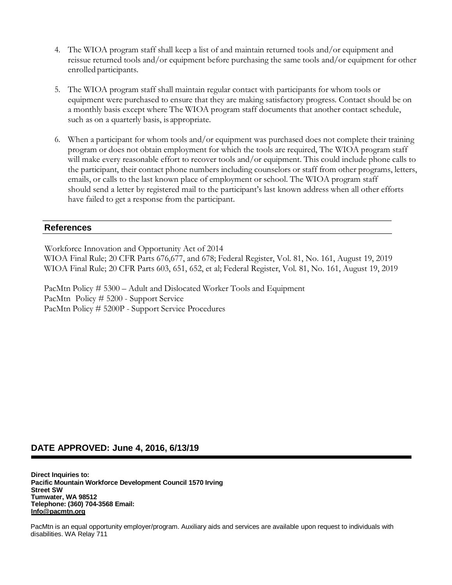- 4. The WIOA program staff shall keep a list of and maintain returned tools and/or equipment and reissue returned tools and/or equipment before purchasing the same tools and/or equipment for other enrolled participants.
- 5. The WIOA program staff shall maintain regular contact with participants for whom tools or equipment were purchased to ensure that they are making satisfactory progress. Contact should be on a monthly basis except where The WIOA program staff documents that another contact schedule, such as on a quarterly basis, is appropriate.
- 6. When a participant for whom tools and/or equipment was purchased does not complete their training program or does not obtain employment for which the tools are required, The WIOA program staff will make every reasonable effort to recover tools and/or equipment. This could include phone calls to the participant, their contact phone numbers including counselors or staff from other programs, letters, emails, or calls to the last known place of employment or school. The WIOA program staff should send a letter by registered mail to the participant's last known address when all other efforts have failed to get a response from the participant.

#### **References**

Workforce Innovation and Opportunity Act of 2014 WIOA Final Rule; 20 CFR Parts 676,677, and 678; Federal Register, Vol. 81, No. 161, August 19, 2019 WIOA Final Rule; 20 CFR Parts 603, 651, 652, et al; Federal Register, Vol. 81, No. 161, August 19, 2019

PacMtn Policy # 5300 – Adult and Dislocated Worker Tools and Equipment PacMtn Policy # 5200 - Support Service PacMtn Policy # 5200P - Support Service Procedures

#### **DATE APPROVED: June 4, 2016, 6/13/19**

**Direct Inquiries to: Pacific Mountain Workforce Development Council 1570 Irving Street SW Tumwater, WA 98512 Telephone: (360) 704-3568 Email: [Info@pacmtn.org](mailto:Info@pacmtn.org)**

PacMtn is an equal opportunity employer/program. Auxiliary aids and services are available upon request to individuals with disabilities. WA Relay 711